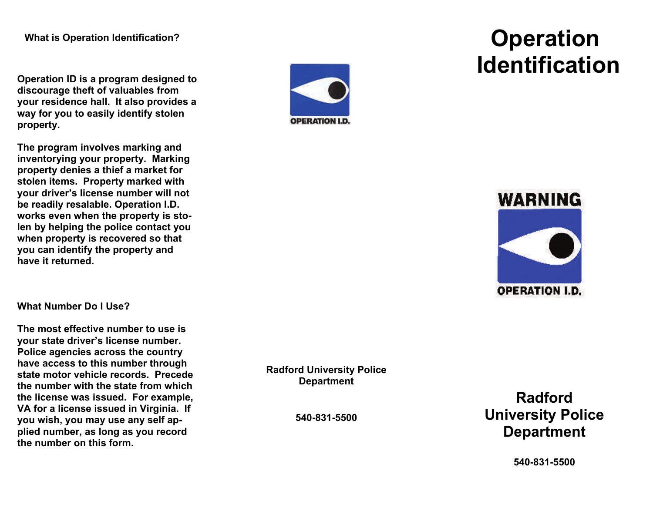**Operation ID is a program designed to discourage theft of valuables from your residence hall. It also provides a way for you to easily identify stolen property.** 

**The program involves marking and inventorying your property. Marking property denies a thief a market for stolen items. Property marked with your driver's license number will not be readily resalable. Operation I.D. works even when the property is stolen by helping the police contact you when property is recovered so that you can identify the property and have it returned.** 

**What Number Do I Use?** 

**The most effective number to use is your state driver's license number. Police agencies across the country have access to this number through state motor vehicle records. Precede the number with the state from which the license was issued. For example, VA for a license issued in Virginia. If you wish, you may use any self applied number, as long as you record the number on this form.** 

**OPERATION I.D.** 

## **Operation Identification**



**Radford University Police Department** 

**540-831-5500** 

**Radford University Police Department** 

**540-831-5500**